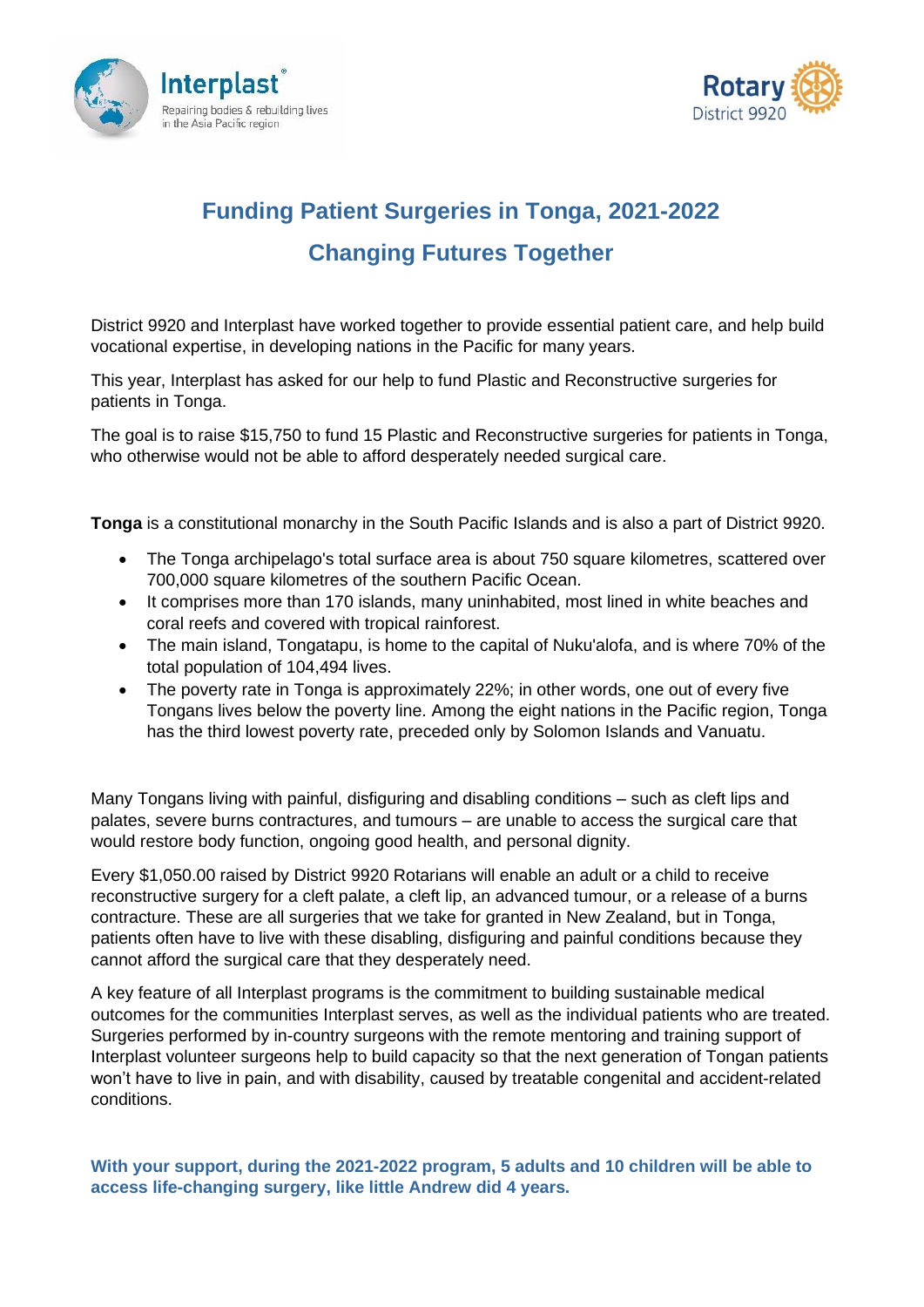



## **Funding Patient Surgeries in Tonga, 2021-2022 Changing Futures Together**

District 9920 and Interplast have worked together to provide essential patient care, and help build vocational expertise, in developing nations in the Pacific for many years.

This year, Interplast has asked for our help to fund Plastic and Reconstructive surgeries for patients in Tonga.

The goal is to raise \$15,750 to fund 15 Plastic and Reconstructive surgeries for patients in Tonga, who otherwise would not be able to afford desperately needed surgical care.

**Tonga** is a constitutional monarchy in the South Pacific Islands and is also a part of District 9920.

- The Tonga archipelago's total surface area is about 750 square kilometres, scattered over 700,000 square kilometres of the southern [Pacific Ocean.](https://en.wikipedia.org/wiki/Pacific_Ocean)
- It comprises more than 170 islands, many uninhabited, most lined in white beaches and coral reefs and covered with tropical rainforest.
- The main island, Tongatapu, is home to the capital of Nuku'alofa, and is where 70% of the total population of 104,494 lives.
- The poverty rate in Tonga is approximately 22%; in other words, one out of every five Tongans lives below the poverty line. Among the eight nations in the Pacific region, Tonga has the third lowest poverty rate, preceded only by Solomon Islands and Vanuatu.

Many Tongans living with painful, disfiguring and disabling conditions – such as cleft lips and palates, severe burns contractures, and tumours – are unable to access the surgical care that would restore body function, ongoing good health, and personal dignity.

Every \$1,050.00 raised by District 9920 Rotarians will enable an adult or a child to receive reconstructive surgery for a cleft palate, a cleft lip, an advanced tumour, or a release of a burns contracture. These are all surgeries that we take for granted in New Zealand, but in Tonga, patients often have to live with these disabling, disfiguring and painful conditions because they cannot afford the surgical care that they desperately need.

A key feature of all Interplast programs is the commitment to building sustainable medical outcomes for the communities Interplast serves, as well as the individual patients who are treated. Surgeries performed by in-country surgeons with the remote mentoring and training support of Interplast volunteer surgeons help to build capacity so that the next generation of Tongan patients won't have to live in pain, and with disability, caused by treatable congenital and accident-related conditions.

**With your support, during the 2021-2022 program, 5 adults and 10 children will be able to access life-changing surgery, like little Andrew did 4 years.**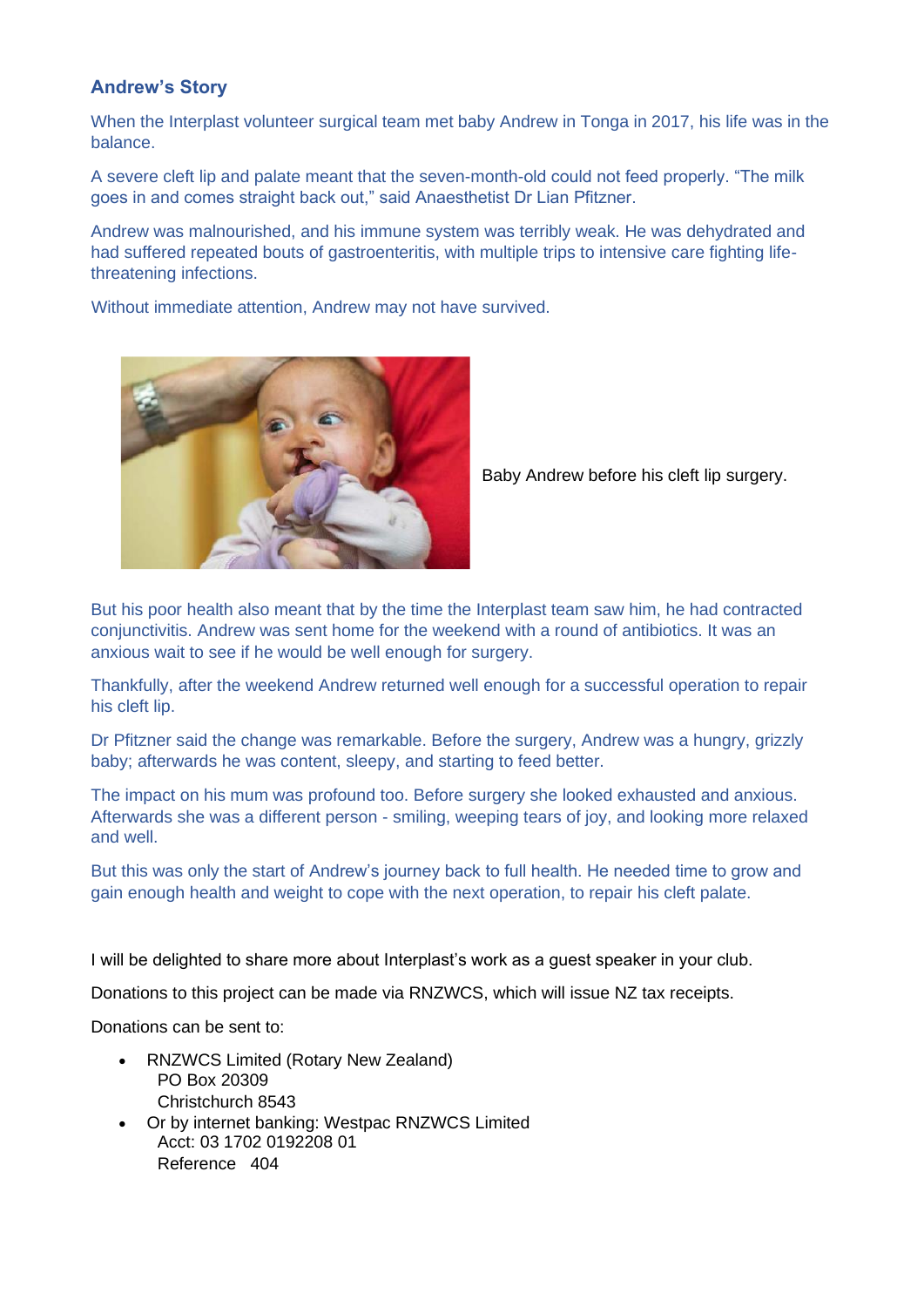## **Andrew's Story**

When the Interplast volunteer surgical team met baby Andrew in Tonga in 2017, his life was in the balance.

A severe cleft lip and palate meant that the seven-month-old could not feed properly. "The milk goes in and comes straight back out," said Anaesthetist Dr Lian Pfitzner.

Andrew was malnourished, and his immune system was terribly weak. He was dehydrated and had suffered repeated bouts of gastroenteritis, with multiple trips to intensive care fighting lifethreatening infections.

Without immediate attention, Andrew may not have survived.



Baby Andrew before his cleft lip surgery.

But his poor health also meant that by the time the Interplast team saw him, he had contracted conjunctivitis. Andrew was sent home for the weekend with a round of antibiotics. It was an anxious wait to see if he would be well enough for surgery.

Thankfully, after the weekend Andrew returned well enough for a successful operation to repair his cleft lip.

Dr Pfitzner said the change was remarkable. Before the surgery, Andrew was a hungry, grizzly baby; afterwards he was content, sleepy, and starting to feed better.

The impact on his mum was profound too. Before surgery she looked exhausted and anxious. Afterwards she was a different person - smiling, weeping tears of joy, and looking more relaxed and well.

But this was only the start of Andrew's journey back to full health. He needed time to grow and gain enough health and weight to cope with the next operation, to repair his cleft palate.

I will be delighted to share more about Interplast's work as a guest speaker in your club.

Donations to this project can be made via RNZWCS, which will issue NZ tax receipts.

Donations can be sent to:

- RNZWCS Limited (Rotary New Zealand) PO Box 20309 Christchurch 8543
- Or by internet banking: Westpac RNZWCS Limited Acct: 03 1702 0192208 01 Reference 404